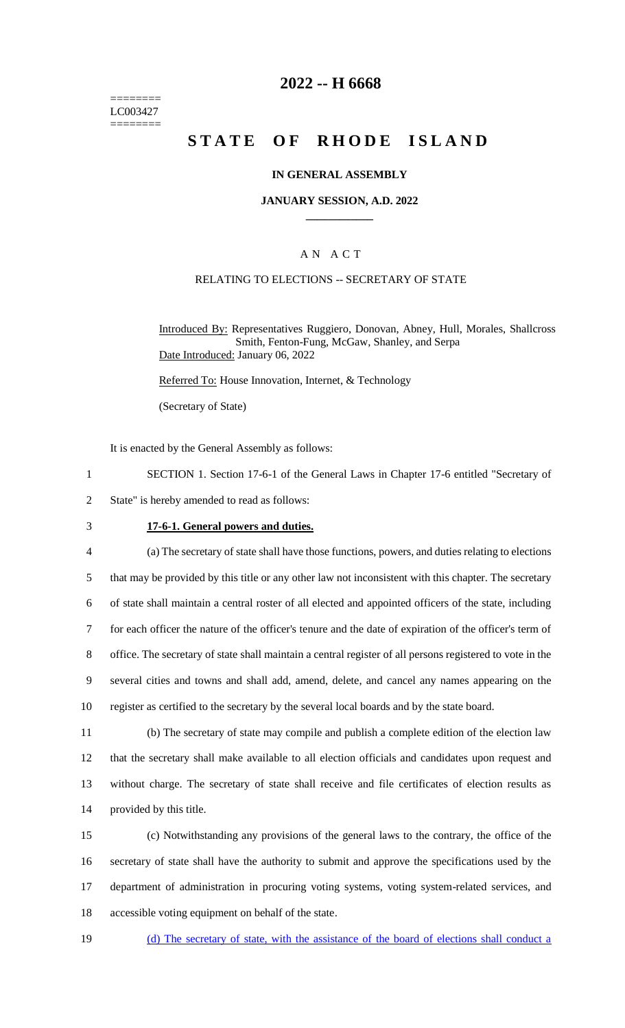======== LC003427 ========

# **2022 -- H 6668**

# **STATE OF RHODE ISLAND**

### **IN GENERAL ASSEMBLY**

### **JANUARY SESSION, A.D. 2022 \_\_\_\_\_\_\_\_\_\_\_\_**

### A N A C T

### RELATING TO ELECTIONS -- SECRETARY OF STATE

Introduced By: Representatives Ruggiero, Donovan, Abney, Hull, Morales, Shallcross Smith, Fenton-Fung, McGaw, Shanley, and Serpa Date Introduced: January 06, 2022

Referred To: House Innovation, Internet, & Technology

(Secretary of State)

It is enacted by the General Assembly as follows:

- 1 SECTION 1. Section 17-6-1 of the General Laws in Chapter 17-6 entitled "Secretary of
- 2 State" is hereby amended to read as follows:
- 

#### 3 **17-6-1. General powers and duties.**

 (a) The secretary of state shall have those functions, powers, and duties relating to elections that may be provided by this title or any other law not inconsistent with this chapter. The secretary of state shall maintain a central roster of all elected and appointed officers of the state, including for each officer the nature of the officer's tenure and the date of expiration of the officer's term of office. The secretary of state shall maintain a central register of all persons registered to vote in the several cities and towns and shall add, amend, delete, and cancel any names appearing on the register as certified to the secretary by the several local boards and by the state board.

 (b) The secretary of state may compile and publish a complete edition of the election law that the secretary shall make available to all election officials and candidates upon request and without charge. The secretary of state shall receive and file certificates of election results as provided by this title.

 (c) Notwithstanding any provisions of the general laws to the contrary, the office of the secretary of state shall have the authority to submit and approve the specifications used by the department of administration in procuring voting systems, voting system-related services, and accessible voting equipment on behalf of the state.

19 (d) The secretary of state, with the assistance of the board of elections shall conduct a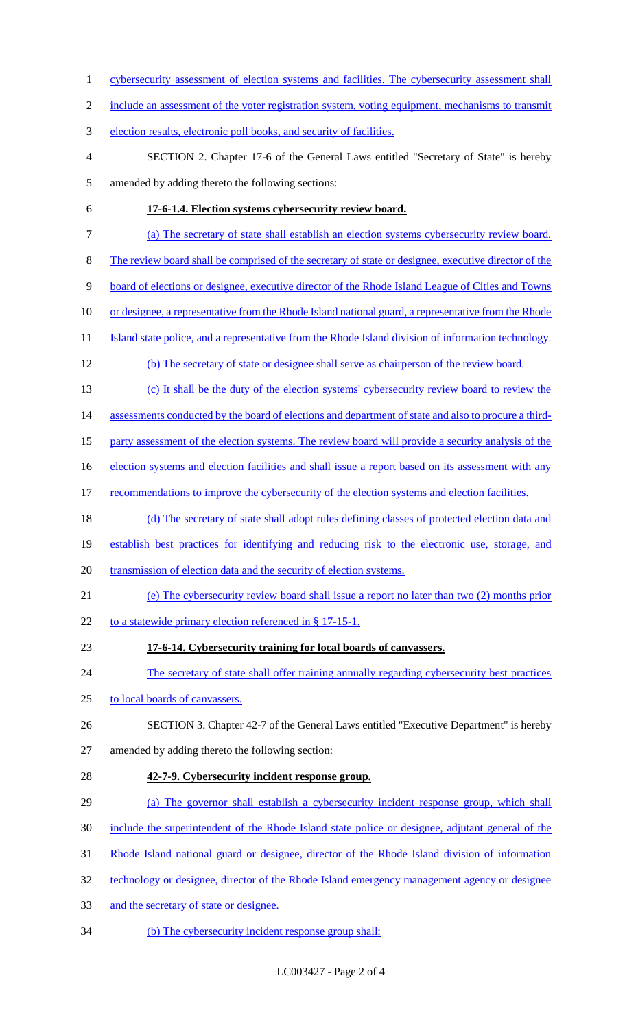1 cybersecurity assessment of election systems and facilities. The cybersecurity assessment shall 2 include an assessment of the voter registration system, voting equipment, mechanisms to transmit election results, electronic poll books, and security of facilities. SECTION 2. Chapter 17-6 of the General Laws entitled "Secretary of State" is hereby amended by adding thereto the following sections: **17-6-1.4. Election systems cybersecurity review board.**  (a) The secretary of state shall establish an election systems cybersecurity review board. The review board shall be comprised of the secretary of state or designee, executive director of the board of elections or designee, executive director of the Rhode Island League of Cities and Towns 10 or designee, a representative from the Rhode Island national guard, a representative from the Rhode 11 Island state police, and a representative from the Rhode Island division of information technology. (b) The secretary of state or designee shall serve as chairperson of the review board. (c) It shall be the duty of the election systems' cybersecurity review board to review the 14 assessments conducted by the board of elections and department of state and also to procure a third- party assessment of the election systems. The review board will provide a security analysis of the 16 election systems and election facilities and shall issue a report based on its assessment with any 17 recommendations to improve the cybersecurity of the election systems and election facilities. (d) The secretary of state shall adopt rules defining classes of protected election data and establish best practices for identifying and reducing risk to the electronic use, storage, and transmission of election data and the security of election systems. (e) The cybersecurity review board shall issue a report no later than two (2) months prior 22 to a statewide primary election referenced in  $\S 17-15-1$ . **17-6-14. Cybersecurity training for local boards of canvassers.**  24 The secretary of state shall offer training annually regarding cybersecurity best practices to local boards of canvassers. SECTION 3. Chapter 42-7 of the General Laws entitled "Executive Department" is hereby amended by adding thereto the following section: **42-7-9. Cybersecurity incident response group.**  (a) The governor shall establish a cybersecurity incident response group, which shall include the superintendent of the Rhode Island state police or designee, adjutant general of the Rhode Island national guard or designee, director of the Rhode Island division of information 32 technology or designee, director of the Rhode Island emergency management agency or designee 33 and the secretary of state or designee. (b) The cybersecurity incident response group shall: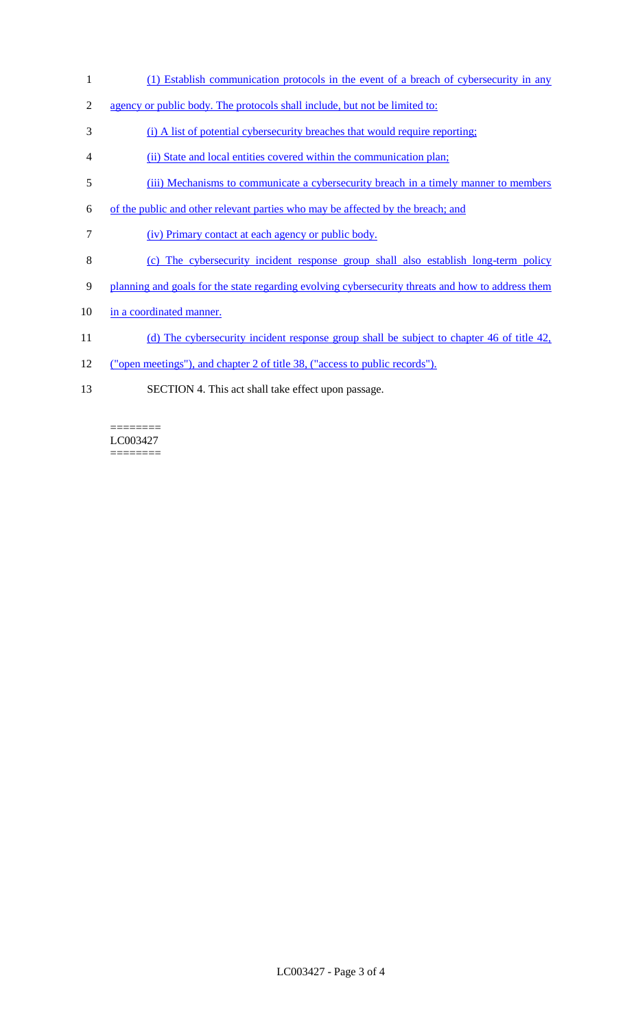- 1 (1) Establish communication protocols in the event of a breach of cybersecurity in any
- 2 agency or public body. The protocols shall include, but not be limited to:
- 3 (i) A list of potential cybersecurity breaches that would require reporting;
- 4 (ii) State and local entities covered within the communication plan;
- 5 (iii) Mechanisms to communicate a cybersecurity breach in a timely manner to members
- 6 of the public and other relevant parties who may be affected by the breach; and
- 7 (iv) Primary contact at each agency or public body.
- 8 (c) The cybersecurity incident response group shall also establish long-term policy
- 9 planning and goals for the state regarding evolving cybersecurity threats and how to address them
- 10 in a coordinated manner.
- 11 (d) The cybersecurity incident response group shall be subject to chapter 46 of title 42,
- 12 ("open meetings"), and chapter 2 of title 38, ("access to public records").
- 13 SECTION 4. This act shall take effect upon passage.

LC003427 ========

 $=$